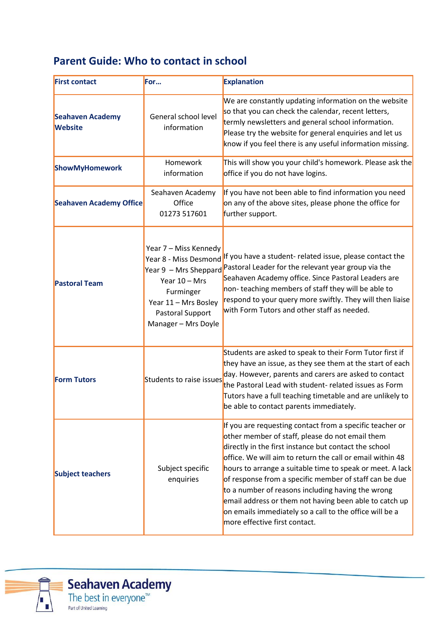## **Parent Guide: Who to contact in school**

| <b>First contact</b>                      | For                                                                                                                                                                        | <b>Explanation</b>                                                                                                                                                                                                                                                                                                                                                                                                                                                                                                                                                  |
|-------------------------------------------|----------------------------------------------------------------------------------------------------------------------------------------------------------------------------|---------------------------------------------------------------------------------------------------------------------------------------------------------------------------------------------------------------------------------------------------------------------------------------------------------------------------------------------------------------------------------------------------------------------------------------------------------------------------------------------------------------------------------------------------------------------|
| <b>Seahaven Academy</b><br><b>Website</b> | General school level<br>information                                                                                                                                        | We are constantly updating information on the website<br>so that you can check the calendar, recent letters,<br>termly newsletters and general school information.<br>Please try the website for general enquiries and let us<br>know if you feel there is any useful information missing.                                                                                                                                                                                                                                                                          |
| <b>ShowMyHomework</b>                     | Homework<br>information                                                                                                                                                    | This will show you your child's homework. Please ask the<br>office if you do not have logins.                                                                                                                                                                                                                                                                                                                                                                                                                                                                       |
| <b>Seahaven Academy Office</b>            | Seahaven Academy<br>Office<br>01273 517601                                                                                                                                 | If you have not been able to find information you need<br>on any of the above sites, please phone the office for<br>further support.                                                                                                                                                                                                                                                                                                                                                                                                                                |
| <b>Pastoral Team</b>                      | Year 7 - Miss Kennedy<br>Year 8 - Miss Desmond<br>Year 9 - Mrs Sheppard<br>Year $10 - Mrs$<br>Furminger<br>Year 11 - Mrs Bosley<br>Pastoral Support<br>Manager - Mrs Doyle | If you have a student- related issue, please contact the<br>Pastoral Leader for the relevant year group via the<br>Seahaven Academy office. Since Pastoral Leaders are<br>non-teaching members of staff they will be able to<br>respond to your query more swiftly. They will then liaise<br>with Form Tutors and other staff as needed.                                                                                                                                                                                                                            |
| <b>Form Tutors</b>                        | Students to raise issues                                                                                                                                                   | Students are asked to speak to their Form Tutor first if<br>they have an issue, as they see them at the start of each<br>day. However, parents and carers are asked to contact<br>the Pastoral Lead with student- related issues as Form<br>Tutors have a full teaching timetable and are unlikely to<br>be able to contact parents immediately.                                                                                                                                                                                                                    |
| <b>Subject teachers</b>                   | Subject specific<br>enquiries                                                                                                                                              | If you are requesting contact from a specific teacher or<br>other member of staff, please do not email them<br>directly in the first instance but contact the school<br>office. We will aim to return the call or email within 48<br>hours to arrange a suitable time to speak or meet. A lack<br>of response from a specific member of staff can be due<br>to a number of reasons including having the wrong<br>email address or them not having been able to catch up<br>on emails immediately so a call to the office will be a<br>more effective first contact. |